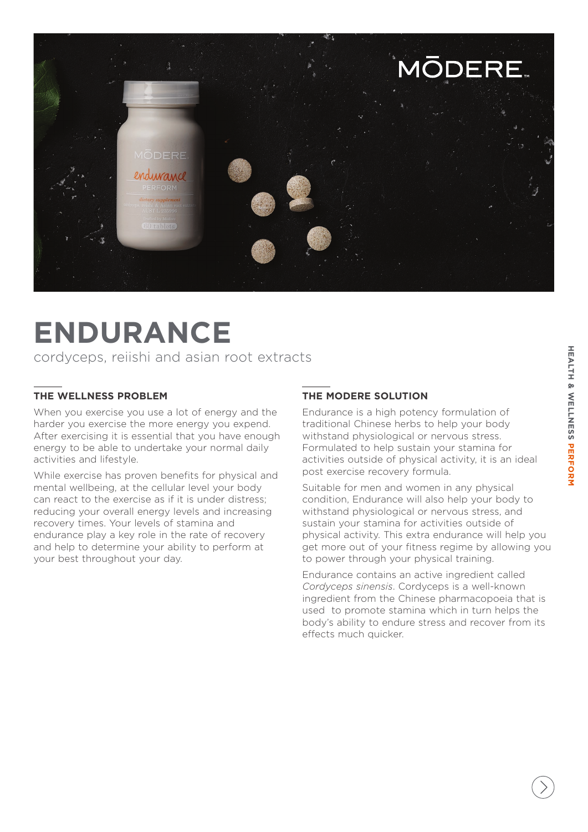

# **ENDURANCE**

cordyceps, reiishi and asian root extracts

# **THE WELLNESS PROBLEM**

When you exercise you use a lot of energy and the harder you exercise the more energy you expend. After exercising it is essential that you have enough energy to be able to undertake your normal daily activities and lifestyle.

While exercise has proven benefits for physical and mental wellbeing, at the cellular level your body can react to the exercise as if it is under distress; reducing your overall energy levels and increasing recovery times. Your levels of stamina and endurance play a key role in the rate of recovery and help to determine your ability to perform at your best throughout your day.

# **THE MODERE SOLUTION**

Endurance is a high potency formulation of traditional Chinese herbs to help your body withstand physiological or nervous stress. Formulated to help sustain your stamina for activities outside of physical activity, it is an ideal post exercise recovery formula.

Suitable for men and women in any physical condition, Endurance will also help your body to withstand physiological or nervous stress, and sustain your stamina for activities outside of physical activity. This extra endurance will help you get more out of your fitness regime by allowing you to power through your physical training.

Endurance contains an active ingredient called *Cordyceps sinensis*. Cordyceps is a well-known ingredient from the Chinese pharmacopoeia that is used to promote stamina which in turn helps the body's ability to endure stress and recover from its effects much quicker.